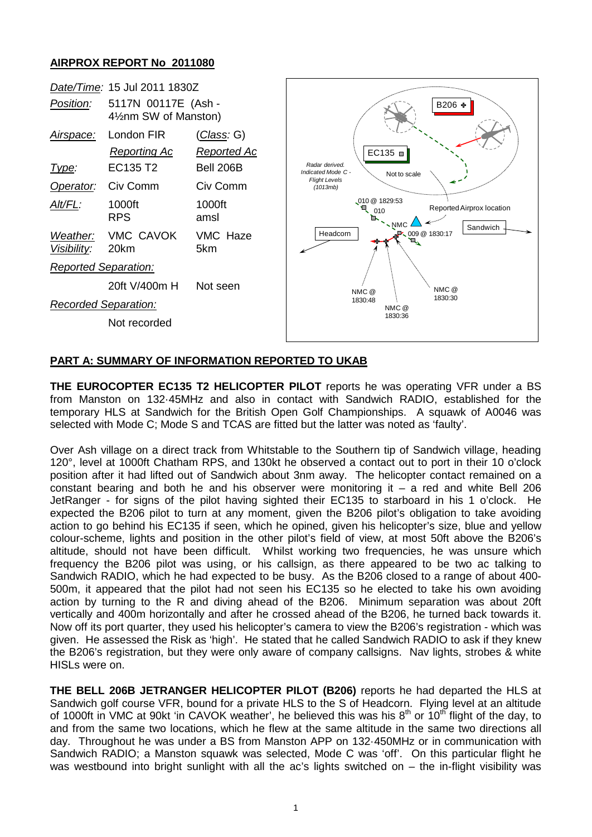## **AIRPROX REPORT No 2011080**



## **PART A: SUMMARY OF INFORMATION REPORTED TO UKAB**

**THE EUROCOPTER EC135 T2 HELICOPTER PILOT** reports he was operating VFR under a BS from Manston on 132·45MHz and also in contact with Sandwich RADIO, established for the temporary HLS at Sandwich for the British Open Golf Championships. A squawk of A0046 was selected with Mode C; Mode S and TCAS are fitted but the latter was noted as 'faulty'.

Over Ash village on a direct track from Whitstable to the Southern tip of Sandwich village, heading 120°, level at 1000ft Chatham RPS, and 130kt he observed a contact out to port in their 10 o'clock position after it had lifted out of Sandwich about 3nm away. The helicopter contact remained on a constant bearing and both he and his observer were monitoring it  $-$  a red and white Bell 206 JetRanger - for signs of the pilot having sighted their EC135 to starboard in his 1 o'clock. He expected the B206 pilot to turn at any moment, given the B206 pilot's obligation to take avoiding action to go behind his EC135 if seen, which he opined, given his helicopter's size, blue and yellow colour-scheme, lights and position in the other pilot's field of view, at most 50ft above the B206's altitude, should not have been difficult. Whilst working two frequencies, he was unsure which frequency the B206 pilot was using, or his callsign, as there appeared to be two ac talking to Sandwich RADIO, which he had expected to be busy. As the B206 closed to a range of about 400- 500m, it appeared that the pilot had not seen his EC135 so he elected to take his own avoiding action by turning to the R and diving ahead of the B206. Minimum separation was about 20ft vertically and 400m horizontally and after he crossed ahead of the B206, he turned back towards it. Now off its port quarter, they used his helicopter's camera to view the B206's registration - which was given. He assessed the Risk as 'high'. He stated that he called Sandwich RADIO to ask if they knew the B206's registration, but they were only aware of company callsigns. Nav lights, strobes & white HISLs were on.

**THE BELL 206B JETRANGER HELICOPTER PILOT (B206)** reports he had departed the HLS at Sandwich golf course VFR, bound for a private HLS to the S of Headcorn. Flying level at an altitude of 1000ft in VMC at 90kt 'in CAVOK weather', he believed this was his  $8<sup>th</sup>$  or 10<sup>th</sup> flight of the day, to and from the same two locations, which he flew at the same altitude in the same two directions all day. Throughout he was under a BS from Manston APP on 132·450MHz or in communication with Sandwich RADIO; a Manston squawk was selected, Mode C was 'off'. On this particular flight he was westbound into bright sunlight with all the ac's lights switched on – the in-flight visibility was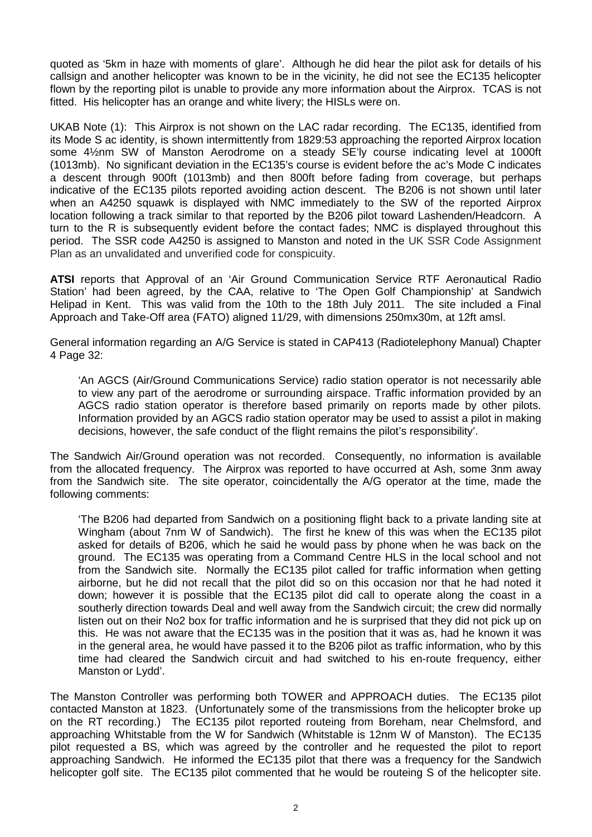quoted as '5km in haze with moments of glare'. Although he did hear the pilot ask for details of his callsign and another helicopter was known to be in the vicinity, he did not see the EC135 helicopter flown by the reporting pilot is unable to provide any more information about the Airprox. TCAS is not fitted. His helicopter has an orange and white livery; the HISLs were on.

UKAB Note (1): This Airprox is not shown on the LAC radar recording. The EC135, identified from its Mode S ac identity, is shown intermittently from 1829:53 approaching the reported Airprox location some 4½nm SW of Manston Aerodrome on a steady SE'ly course indicating level at 1000ft (1013mb). No significant deviation in the EC135's course is evident before the ac's Mode C indicates a descent through 900ft (1013mb) and then 800ft before fading from coverage, but perhaps indicative of the EC135 pilots reported avoiding action descent. The B206 is not shown until later when an A4250 squawk is displayed with NMC immediately to the SW of the reported Airprox location following a track similar to that reported by the B206 pilot toward Lashenden/Headcorn. A turn to the R is subsequently evident before the contact fades; NMC is displayed throughout this period. The SSR code A4250 is assigned to Manston and noted in the UK SSR Code Assignment Plan as an unvalidated and unverified code for conspicuity.

**ATSI** reports that Approval of an 'Air Ground Communication Service RTF Aeronautical Radio Station' had been agreed, by the CAA, relative to 'The Open Golf Championship' at Sandwich Helipad in Kent. This was valid from the 10th to the 18th July 2011. The site included a Final Approach and Take-Off area (FATO) aligned 11/29, with dimensions 250mx30m, at 12ft amsl.

General information regarding an A/G Service is stated in CAP413 (Radiotelephony Manual) Chapter 4 Page 32:

'An AGCS (Air/Ground Communications Service) radio station operator is not necessarily able to view any part of the aerodrome or surrounding airspace. Traffic information provided by an AGCS radio station operator is therefore based primarily on reports made by other pilots. Information provided by an AGCS radio station operator may be used to assist a pilot in making decisions, however, the safe conduct of the flight remains the pilot's responsibility'.

The Sandwich Air/Ground operation was not recorded. Consequently, no information is available from the allocated frequency. The Airprox was reported to have occurred at Ash, some 3nm away from the Sandwich site. The site operator, coincidentally the A/G operator at the time, made the following comments:

'The B206 had departed from Sandwich on a positioning flight back to a private landing site at Wingham (about 7nm W of Sandwich). The first he knew of this was when the EC135 pilot asked for details of B206, which he said he would pass by phone when he was back on the ground. The EC135 was operating from a Command Centre HLS in the local school and not from the Sandwich site. Normally the EC135 pilot called for traffic information when getting airborne, but he did not recall that the pilot did so on this occasion nor that he had noted it down; however it is possible that the EC135 pilot did call to operate along the coast in a southerly direction towards Deal and well away from the Sandwich circuit; the crew did normally listen out on their No2 box for traffic information and he is surprised that they did not pick up on this. He was not aware that the EC135 was in the position that it was as, had he known it was in the general area, he would have passed it to the B206 pilot as traffic information, who by this time had cleared the Sandwich circuit and had switched to his en-route frequency, either Manston or Lydd'.

The Manston Controller was performing both TOWER and APPROACH duties. The EC135 pilot contacted Manston at 1823. (Unfortunately some of the transmissions from the helicopter broke up on the RT recording.) The EC135 pilot reported routeing from Boreham, near Chelmsford, and approaching Whitstable from the W for Sandwich (Whitstable is 12nm W of Manston). The EC135 pilot requested a BS, which was agreed by the controller and he requested the pilot to report approaching Sandwich. He informed the EC135 pilot that there was a frequency for the Sandwich helicopter golf site. The EC135 pilot commented that he would be routeing S of the helicopter site.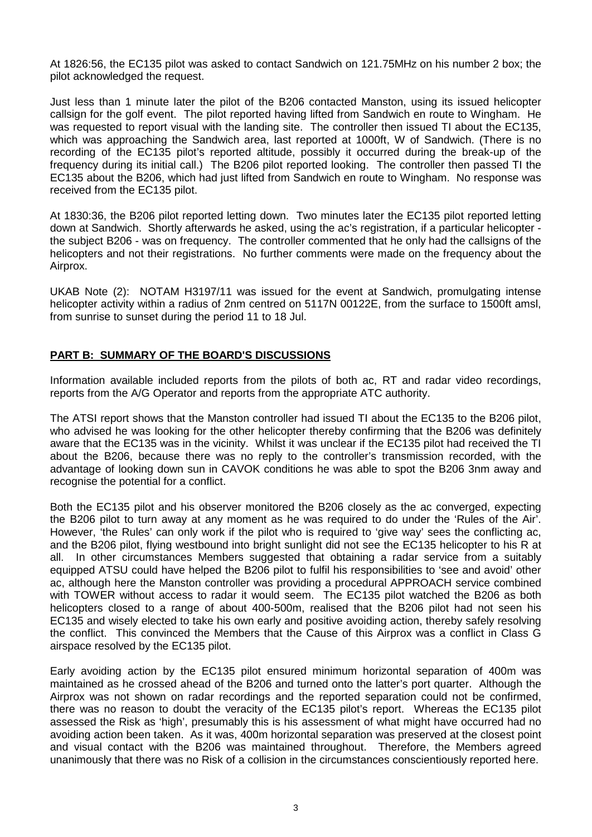At 1826:56, the EC135 pilot was asked to contact Sandwich on 121.75MHz on his number 2 box; the pilot acknowledged the request.

Just less than 1 minute later the pilot of the B206 contacted Manston, using its issued helicopter callsign for the golf event. The pilot reported having lifted from Sandwich en route to Wingham. He was requested to report visual with the landing site. The controller then issued TI about the EC135, which was approaching the Sandwich area. last reported at 1000ft. W of Sandwich. (There is no recording of the EC135 pilot's reported altitude, possibly it occurred during the break-up of the frequency during its initial call.) The B206 pilot reported looking. The controller then passed TI the EC135 about the B206, which had just lifted from Sandwich en route to Wingham. No response was received from the EC135 pilot.

At 1830:36, the B206 pilot reported letting down. Two minutes later the EC135 pilot reported letting down at Sandwich. Shortly afterwards he asked, using the ac's registration, if a particular helicopter the subject B206 - was on frequency. The controller commented that he only had the callsigns of the helicopters and not their registrations. No further comments were made on the frequency about the Airprox.

UKAB Note (2): NOTAM H3197/11 was issued for the event at Sandwich, promulgating intense helicopter activity within a radius of 2nm centred on 5117N 00122E, from the surface to 1500ft amsl, from sunrise to sunset during the period 11 to 18 Jul.

## **PART B: SUMMARY OF THE BOARD'S DISCUSSIONS**

Information available included reports from the pilots of both ac, RT and radar video recordings, reports from the A/G Operator and reports from the appropriate ATC authority.

The ATSI report shows that the Manston controller had issued TI about the EC135 to the B206 pilot, who advised he was looking for the other helicopter thereby confirming that the B206 was definitely aware that the EC135 was in the vicinity. Whilst it was unclear if the EC135 pilot had received the TI about the B206, because there was no reply to the controller's transmission recorded, with the advantage of looking down sun in CAVOK conditions he was able to spot the B206 3nm away and recognise the potential for a conflict.

Both the EC135 pilot and his observer monitored the B206 closely as the ac converged, expecting the B206 pilot to turn away at any moment as he was required to do under the 'Rules of the Air'. However, 'the Rules' can only work if the pilot who is required to 'give way' sees the conflicting ac, and the B206 pilot, flying westbound into bright sunlight did not see the EC135 helicopter to his R at all. In other circumstances Members suggested that obtaining a radar service from a suitably equipped ATSU could have helped the B206 pilot to fulfil his responsibilities to 'see and avoid' other ac, although here the Manston controller was providing a procedural APPROACH service combined with TOWER without access to radar it would seem. The EC135 pilot watched the B206 as both helicopters closed to a range of about 400-500m, realised that the B206 pilot had not seen his EC135 and wisely elected to take his own early and positive avoiding action, thereby safely resolving the conflict. This convinced the Members that the Cause of this Airprox was a conflict in Class G airspace resolved by the EC135 pilot.

Early avoiding action by the EC135 pilot ensured minimum horizontal separation of 400m was maintained as he crossed ahead of the B206 and turned onto the latter's port quarter. Although the Airprox was not shown on radar recordings and the reported separation could not be confirmed, there was no reason to doubt the veracity of the EC135 pilot's report. Whereas the EC135 pilot assessed the Risk as 'high', presumably this is his assessment of what might have occurred had no avoiding action been taken. As it was, 400m horizontal separation was preserved at the closest point and visual contact with the B206 was maintained throughout. Therefore, the Members agreed unanimously that there was no Risk of a collision in the circumstances conscientiously reported here.